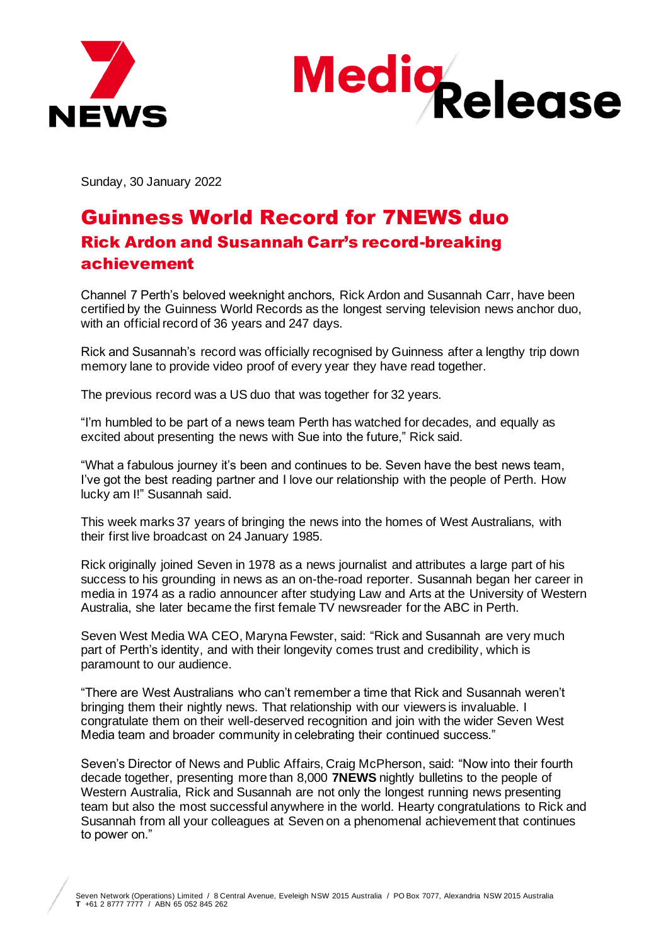



Sunday, 30 January 2022

## Guinness World Record for 7NEWS duo Rick Ardon and Susannah Carr's record-breaking achievement

Channel 7 Perth's beloved weeknight anchors, Rick Ardon and Susannah Carr, have been certified by the Guinness World Records as the longest serving television news anchor duo, with an official record of 36 years and 247 days.

Rick and Susannah's record was officially recognised by Guinness after a lengthy trip down memory lane to provide video proof of every year they have read together.

The previous record was a US duo that was together for 32 years.

"I'm humbled to be part of a news team Perth has watched for decades, and equally as excited about presenting the news with Sue into the future," Rick said.

"What a fabulous journey it's been and continues to be. Seven have the best news team, I've got the best reading partner and I love our relationship with the people of Perth. How lucky am I!" Susannah said.

This week marks 37 years of bringing the news into the homes of West Australians, with their first live broadcast on 24 January 1985.

Rick originally joined Seven in 1978 as a news journalist and attributes a large part of his success to his grounding in news as an on-the-road reporter. Susannah began her career in media in 1974 as a radio announcer after studying Law and Arts at the University of Western Australia, she later became the first female TV newsreader for the ABC in Perth.

Seven West Media WA CEO, Maryna Fewster, said: "Rick and Susannah are very much part of Perth's identity, and with their longevity comes trust and credibility, which is paramount to our audience.

"There are West Australians who can't remember a time that Rick and Susannah weren't bringing them their nightly news. That relationship with our viewers is invaluable. I congratulate them on their well-deserved recognition and join with the wider Seven West Media team and broader community in celebrating their continued success."

Seven's Director of News and Public Affairs, Craig McPherson, said: "Now into their fourth decade together, presenting more than 8,000 **7NEWS** nightly bulletins to the people of Western Australia, Rick and Susannah are not only the longest running news presenting team but also the most successful anywhere in the world. Hearty congratulations to Rick and Susannah from all your colleagues at Seven on a phenomenal achievement that continues to power on."